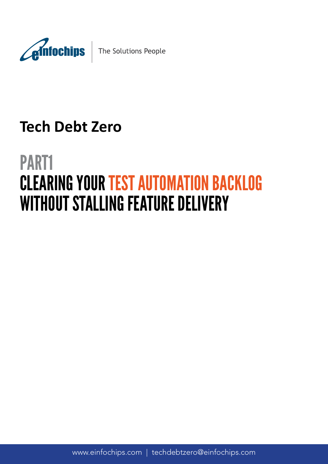

# **Tech Debt Zero**

# PART1 CLEARING YOUR TEST AUTOMATION BACKLOG WITHOUT STALLING FEATURE DELIVERY

www.einfochips.com | techdebtzero@einfochips.com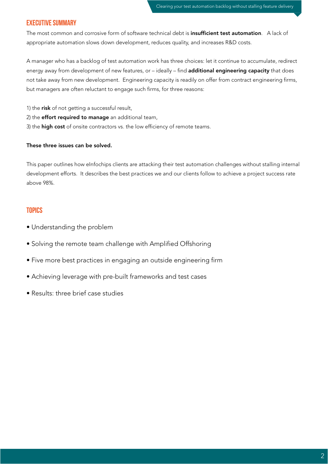# Executive Summary

The most common and corrosive form of software technical debt is insufficient test automation. A lack of appropriate automation slows down development, reduces quality, and increases R&D costs.

A manager who has a backlog of test automation work has three choices: let it continue to accumulate, redirect energy away from development of new features, or – ideally – find **additional engineering capacity** that does not take away from new development. Engineering capacity is readily on offer from contract engineering firms, but managers are often reluctant to engage such firms, for three reasons:

1) the risk of not getting a successful result,

2) the **effort required to manage** an additional team,

3) the high cost of onsite contractors vs. the low efficiency of remote teams.

#### These three issues can be solved.

This paper outlines how eInfochips clients are attacking their test automation challenges without stalling internal development efforts. It describes the best practices we and our clients follow to achieve a project success rate above 98%.

#### **TOPICS**

- Understanding the problem
- Solving the remote team challenge with Amplified Offshoring
- Five more best practices in engaging an outside engineering firm
- Achieving leverage with pre-built frameworks and test cases
- Results: three brief case studies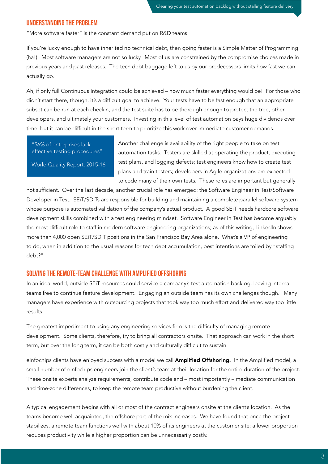#### Understanding the problem

"More software faster" is the constant demand put on R&D teams.

If you're lucky enough to have inherited no technical debt, then going faster is a Simple Matter of Programming (ha!). Most software managers are not so lucky. Most of us are constrained by the compromise choices made in previous years and past releases. The tech debt baggage left to us by our predecessors limits how fast we can actually go.

Ah, if only full Continuous Integration could be achieved – how much faster everything would be! For those who didn't start there, though, it's a difficult goal to achieve. Your tests have to be fast enough that an appropriate subset can be run at each checkin, and the test suite has to be thorough enough to protect the tree, other developers, and ultimately your customers. Investing in this level of test automation pays huge dividends over time, but it can be difficult in the short term to prioritize this work over immediate customer demands.

"56% of enterprises lack effective testing procedures"

World Quality Report, 2015-16

Another challenge is availability of the right people to take on test automation tasks. Testers are skilled at operating the product, executing test plans, and logging defects; test engineers know how to create test plans and train testers; developers in Agile organizations are expected to code many of their own tests. These roles are important but generally

not sufficient. Over the last decade, another crucial role has emerged: the Software Engineer in Test/Software Developer in Test. SEiT/SDiTs are responsible for building and maintaining a complete parallel software system whose purpose is automated validation of the company's actual product. A good SEiT needs hardcore software development skills combined with a test engineering mindset. Software Engineer in Test has become arguably the most difficult role to staff in modern software engineering organizations; as of this writing, LinkedIn shows more than 4,000 open SEiT/SDiT positions in the San Francisco Bay Area alone. What's a VP of engineering to do, when in addition to the usual reasons for tech debt accumulation, best intentions are foiled by "staffing debt?"

#### Solving the remote-team challenge with Amplified Offshoring

In an ideal world, outside SEiT resources could service a company's test automation backlog, leaving internal teams free to continue feature development. Engaging an outside team has its own challenges though. Many managers have experience with outsourcing projects that took way too much effort and delivered way too little results.

The greatest impediment to using any engineering services firm is the difficulty of managing remote development. Some clients, therefore, try to bring all contractors onsite. That approach can work in the short term, but over the long term, it can be both costly and culturally difficult to sustain.

eInfochips clients have enjoyed success with a model we call **Amplified Offshoring.** In the Amplified model, a small number of eInfochips engineers join the client's team at their location for the entire duration of the project. These onsite experts analyze requirements, contribute code and – most importantly – mediate communication and time-zone differences, to keep the remote team productive without burdening the client.

A typical engagement begins with all or most of the contract engineers onsite at the client's location. As the teams become well acquainted, the offshore part of the mix increases. We have found that once the project stabilizes, a remote team functions well with about 10% of its engineers at the customer site; a lower proportion reduces productivity while a higher proportion can be unnecessarily costly.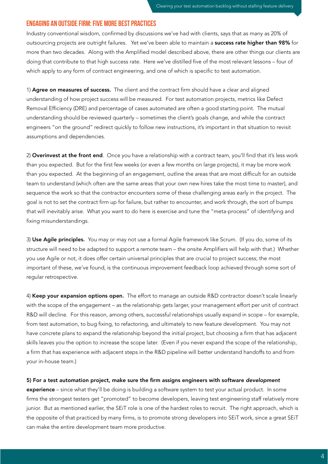#### Engaging an outside firm: five more best practices

Industry conventional wisdom, confirmed by discussions we've had with clients, says that as many as 20% of outsourcing projects are outright failures. Yet we've been able to maintain a success rate higher than 98% for more than two decades. Along with the Amplified model described above, there are other things our clients are doing that contribute to that high success rate. Here we've distilled five of the most relevant lessons – four of which apply to any form of contract engineering, and one of which is specific to test automation.

1) Agree on measures of success. The client and the contract firm should have a clear and aligned understanding of how project success will be measured. For test automation projects, metrics like Defect Removal Efficiency (DRE) and percentage of cases automated are often a good starting point. The mutual understanding should be reviewed quarterly – sometimes the client's goals change, and while the contract engineers "on the ground" redirect quickly to follow new instructions, it's important in that situation to revisit assumptions and dependencies.

2) Overinvest at the front end. Once you have a relationship with a contract team, you'll find that it's less work than you expected. But for the first few weeks (or even a few months on large projects), it may be more work than you expected. At the beginning of an engagement, outline the areas that are most difficult for an outside team to understand (which often are the same areas that your own new hires take the most time to master), and sequence the work so that the contractor encounters some of these challenging areas early in the project. The goal is not to set the contract firm up for failure, but rather to encounter, and work through, the sort of bumps that will inevitably arise. What you want to do here is exercise and tune the "meta-process" of identifying and fixing misunderstandings.

3) Use Agile principles. You may or may not use a formal Agile framework like Scrum. (If you do, some of its structure will need to be adapted to support a remote team – the onsite Amplifiers will help with that.) Whether you use Agile or not, it does offer certain universal principles that are crucial to project success; the most important of these, we've found, is the continuous improvement feedback loop achieved through some sort of regular retrospective.

4) Keep your expansion options open. The effort to manage an outside R&D contractor doesn't scale linearly with the scope of the engagement – as the relationship gets larger, your management effort per unit of contract R&D will decline. For this reason, among others, successful relationships usually expand in scope – for example, from test automation, to bug fixing, to refactoring, and ultimately to new feature development. You may not have concrete plans to expand the relationship beyond the initial project, but choosing a firm that has adjacent skills leaves you the option to increase the scope later. (Even if you never expand the scope of the relationship, a firm that has experience with adjacent steps in the R&D pipeline will better understand handoffs to and from your in-house team.)

#### 5) For a test automation project, make sure the firm assigns engineers with software *development*

experience – since what they'll be doing is building a software system to test your actual product. In some firms the strongest testers get "promoted" to become developers, leaving test engineering staff relatively more junior. But as mentioned earlier, the SEiT role is one of the hardest roles to recruit. The right approach, which is the opposite of that practiced by many firms, is to promote strong developers into SEiT work, since a great SEiT can make the entire development team more productive.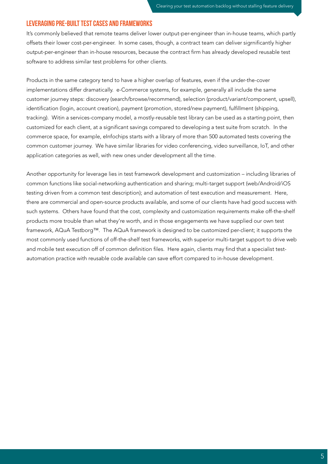#### Leveraging pre-built test cases and frameworks

It's commonly believed that remote teams deliver lower output-per-engineer than in-house teams, which partly offsets their lower cost-per-engineer. In some cases, though, a contract team can deliver sigrnificantly higher output-per-engineer than in-house resources, because the contract firm has already developed reusable test software to address similar test problems for other clients.

Products in the same category tend to have a higher overlap of features, even if the under-the-cover implementations differ dramatically. e-Commerce systems, for example, generally all include the same customer journey steps: discovery (search/browse/recommend), selection (product/variant/component, upsell), identification (login, account creation), payment (promotion, stored/new payment), fulfillment (shipping, tracking). Witin a services-company model, a mostly-reusable test library can be used as a starting point, then customized for each client, at a significant savings compared to developing a test suite from scratch. In the commerce space, for example, eInfochips starts with a library of more than 500 automated tests covering the common customer journey. We have similar libraries for video conferencing, video surveillance, IoT, and other application categories as well, with new ones under development all the time.

Another opportunity for leverage lies in test framework development and customization – including libraries of common functions like social-networking authentication and sharing; multi-target support (web/Android/iOS testing driven from a common test description); and automation of test execution and measurement. Here, there are commercial and open-source products available, and some of our clients have had good success with such systems. Others have found that the cost, complexity and customization requirements make off-the-shelf products more trouble than what they're worth, and in those engagements we have supplied our own test framework, AQuA Testborg™. The AQuA framework is designed to be customized per-client; it supports the most commonly used functions of off-the-shelf test frameworks, with superior multi-target support to drive web and mobile test execution off of common definition files. Here again, clients may find that a specialist testautomation practice with reusable code available can save effort compared to in-house development.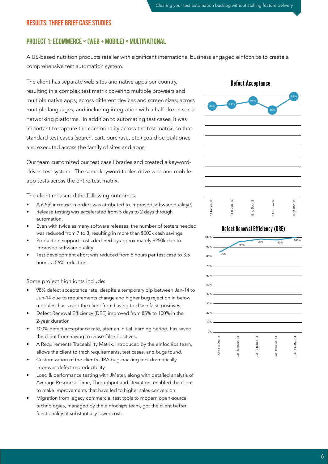#### Results: three brief case studies

#### Project 1: Ecommerce × (web + mobile) × multinational

A US-based nutrition products retailer with significant international business engaged eInfochips to create a comprehensive test automation system.

The client has separate web sites and native apps per country, resulting in a complex test matrix covering multiple browsers and multiple native apps, across different devices and screen sizes, across multiple languages, and including integration with a half-dozen social networking platforms. In addition to automating test cases, it was important to capture the commonality across the test matrix, so that standard test cases (search, cart, purchase, etc.) could be built once and executed across the family of sites and apps.

Our team customized our test case libraries and created a keyworddriven test system. The same keyword tables drive web and mobileapp tests across the entire test matrix.

The client measured the following outcomes:

- A 6.5% increase in orders was attributed to improved software quality(!)
- Release testing was accelerated from 5 days to 2 days through automation.
- Even with twice as many software releases, the number of testers needed was reduced from 7 to 3, resulting in more than \$500k cash savings.
- Production-support costs declined by approximately \$250k due to improved software quality.
- Test development effort was reduced from 8 hours per test case to 3.5 hours, a 56% reduction.

Some project highlights include:

- 98% defect acceptance rate, despite a temporary dip between Jan-14 to Jun-14 due to requirements change and higher bug rejection in below modules, has saved the client from having to chase false positives.
- Defect Removal Efficiency (DRE) improved from 85% to 100% in the 2-year duration
- 100% defect acceptance rate, after an initial learning period, has saved the client from having to chase false positives.
- A Requirements Traceability Matrix, introduced by the eInfochips team, allows the client to track requirements, test cases, and bugs found.
- Customization of the client's JIRA bug-tracking tool dramatically improves defect reproducibility.
- Load & performance testing with JMeter, along with detailed analysis of Average Response Time, Throughput and Deviation, enabled the client to make improvements that have led to higher sales conversion.
- Migration from legacy commercial test tools to modern open-source technologies, managed by the eInfochips team, got the client better functionality at substantially lower cost.



#### Defect Removal Efficiency (DRE)

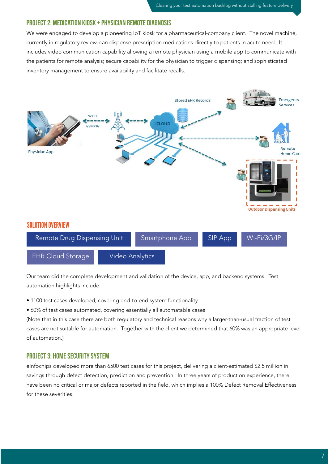### Project 2: Medication kiosk + physician remote diagnosis

We were engaged to develop a pioneering IoT kiosk for a pharmaceutical-company client. The novel machine, currently in regulatory review, can dispense prescription medications directly to patients in acute need. It includes video communication capability allowing a remote physician using a mobile app to communicate with the patients for remote analysis; secure capability for the physician to trigger dispensing; and sophisticated inventory management to ensure availability and facilitate recalls.



Our team did the complete development and validation of the device, app, and backend systems. Test automation highlights include:

- 1100 test cases developed, covering end-to-end system functionality
- 60% of test cases automated, covering essentially all automatable cases

(Note that in this case there are both regulatory and technical reasons why a larger-than-usual fraction of test cases are not suitable for automation. Together with the client we determined that 60% was an appropriate level of automation.)

#### Project 3: Home security system

eInfochips developed more than 6500 test cases for this project, delivering a client-estimated \$2.5 million in savings through defect detection, prediction and prevention. In three years of production experience, there have been no critical or major defects reported in the field, which implies a 100% Defect Removal Effectiveness for these severities.